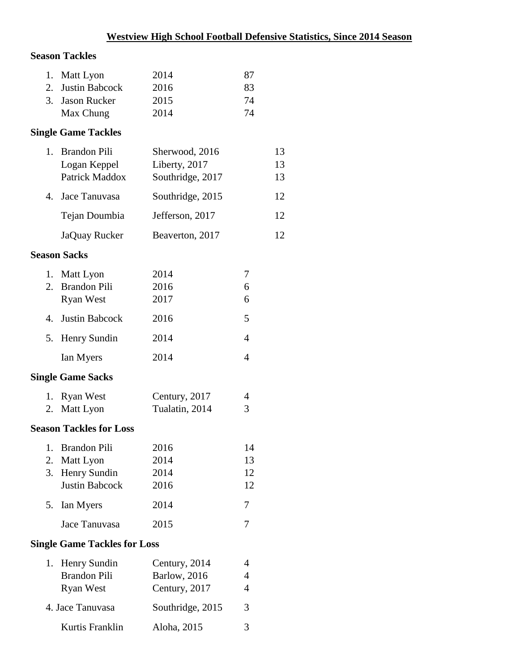# **Season Tackles**

| 1. Matt Lyon      | 2014 | 87 |
|-------------------|------|----|
| 2. Justin Babcock | 2016 | 83 |
| 3. Jason Rucker   | 2015 | 74 |
| Max Chung         | 2014 | 74 |

# **Single Game Tackles**

| 1. Brandon Pili  | Sherwood, 2016   | 13  |
|------------------|------------------|-----|
| Logan Keppel     | Liberty, 2017    | 13  |
| Patrick Maddox   | Southridge, 2017 | 13  |
| 4. Jace Tanuvasa | Southridge, 2015 | 12  |
| Tejan Doumbia    | Jefferson, 2017  | 12. |
| JaQuay Rucker    | Beaverton, 2017  | 12. |

#### **Season Sacks**

| 1. Matt Lyon      | 2014 |   |
|-------------------|------|---|
| 2. Brandon Pili   | 2016 | 6 |
| <b>Ryan West</b>  | 2017 | 6 |
| 4. Justin Babcock | 2016 | 5 |
| 5. Henry Sundin   | 2014 | 4 |
| Ian Myers         | 2014 |   |

# **Single Game Sacks**

| 1. Ryan West | Century, 2017  | 4 |
|--------------|----------------|---|
| 2. Matt Lyon | Tualatin, 2014 |   |

#### **Season Tackles for Loss**

| 1. Brandon Pili       | 2016 | 14 |
|-----------------------|------|----|
| 2. Matt Lyon          | 2014 | 13 |
| 3. Henry Sundin       | 2014 | 12 |
| <b>Justin Babcock</b> | 2016 | 12 |
| 5. Ian Myers          | 2014 |    |
| Jace Tanuvasa         | 2015 |    |

# **Single Game Tackles for Loss**

| 1. Henry Sundin     | Century, 2014        | 4 |
|---------------------|----------------------|---|
| <b>Brandon Pili</b> | <b>Barlow</b> , 2016 | 4 |
| Ryan West           | Century, 2017        | 4 |
| 4. Jace Tanuvasa    | Southridge, 2015     | 3 |
| Kurtis Franklin     | Aloha, 2015          | 3 |